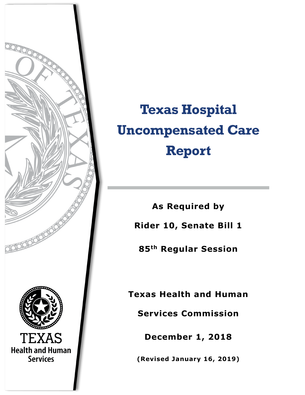

# **Texas Hospital Uncompensated Care Report**

**As Required by Rider 10, Senate Bill 1** 

**85th Regular Session**

**Texas Health and Human** 

**Services Commission**

**December 1, 2018**

**(Revised January 16, 2019)**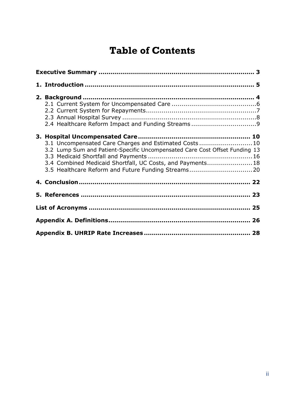# **Table of Contents**

| 2.4 Healthcare Reform Impact and Funding Streams9                                                                                                                                                                                                       |  |  |  |  |  |  |
|---------------------------------------------------------------------------------------------------------------------------------------------------------------------------------------------------------------------------------------------------------|--|--|--|--|--|--|
| 3.1 Uncompensated Care Charges and Estimated Costs10<br>3.2 Lump Sum and Patient-Specific Uncompensated Care Cost Offset Funding 13<br>3.4 Combined Medicaid Shortfall, UC Costs, and Payments 18<br>3.5 Healthcare Reform and Future Funding Streams20 |  |  |  |  |  |  |
|                                                                                                                                                                                                                                                         |  |  |  |  |  |  |
|                                                                                                                                                                                                                                                         |  |  |  |  |  |  |
|                                                                                                                                                                                                                                                         |  |  |  |  |  |  |
|                                                                                                                                                                                                                                                         |  |  |  |  |  |  |
|                                                                                                                                                                                                                                                         |  |  |  |  |  |  |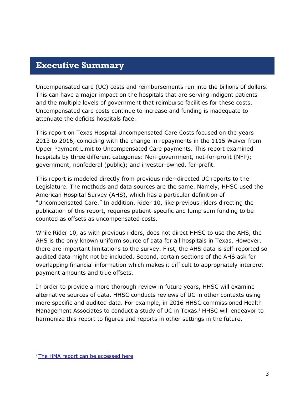## <span id="page-2-0"></span>**Executive Summary**

Uncompensated care (UC) costs and reimbursements run into the billions of dollars. This can have a major impact on the hospitals that are serving indigent patients and the multiple levels of government that reimburse facilities for these costs. Uncompensated care costs continue to increase and funding is inadequate to attenuate the deficits hospitals face.

This report on Texas Hospital Uncompensated Care Costs focused on the years 2013 to 2016, coinciding with the change in repayments in the 1115 Waiver from Upper Payment Limit to Uncompensated Care payments. This report examined hospitals by three different categories: Non-government, not-for-profit (NFP); government, nonfederal (public); and investor-owned, for-profit.

This report is modeled directly from previous rider-directed UC reports to the Legislature. The methods and data sources are the same. Namely, HHSC used the American Hospital Survey (AHS), which has a particular definition of "Uncompensated Care." In addition, Rider 10, like previous riders directing the publication of this report, requires patient-specific and lump sum funding to be counted as offsets as uncompensated costs.

While Rider 10, as with previous riders, does not direct HHSC to use the AHS, the AHS is the only known uniform source of data for all hospitals in Texas. However, there are important limitations to the survey. First, the AHS data is self-reported so audited data might not be included. Second, certain sections of the AHS ask for overlapping financial information which makes it difficult to appropriately interpret payment amounts and true offsets.

In order to provide a more thorough review in future years, HHSC will examine alternative sources of data. HHSC conducts reviews of UC in other contexts using more specific and audited data. For example, in 2016 HHSC commissioned Health Management Assoc[i](#page-2-1)ates to conduct a study of UC in Texas.<sup>i</sup> HHSC will endeavor to harmonize this report to figures and reports in other settings in the future.

<span id="page-2-1"></span><sup>1</sup> <sup>i</sup> [The HMA report can be](https://hhs.texas.gov/sites/default/files/documents/laws-regulations/reports-presentations/2016/eval-uncompensated-care-medicaid-payments-tx-hospitals-role-tx-uc-pool-aug-2016.pdf) accessed here.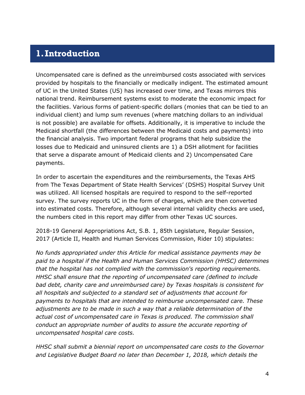# <span id="page-3-0"></span>**1.Introduction**

Uncompensated care is defined as the unreimbursed costs associated with services provided by hospitals to the financially or medically indigent. The estimated amount of UC in the United States (US) has increased over time, and Texas mirrors this national trend. Reimbursement systems exist to moderate the economic impact for the facilities. Various forms of patient-specific dollars (monies that can be tied to an individual client) and lump sum revenues (where matching dollars to an individual is not possible) are available for offsets. Additionally, it is imperative to include the Medicaid shortfall (the differences between the Medicaid costs and payments) into the financial analysis. Two important federal programs that help subsidize the losses due to Medicaid and uninsured clients are 1) a DSH allotment for facilities that serve a disparate amount of Medicaid clients and 2) Uncompensated Care payments.

In order to ascertain the expenditures and the reimbursements, the Texas AHS from The Texas Department of State Health Services' (DSHS) Hospital Survey Unit was utilized. All licensed hospitals are required to respond to the self-reported survey. The survey reports UC in the form of charges, which are then converted into estimated costs. Therefore, although several internal validity checks are used, the numbers cited in this report may differ from other Texas UC sources.

2018-19 General Appropriations Act, S.B. 1, 85th Legislature, Regular Session, 2017 (Article II, Health and Human Services Commission, Rider 10) stipulates:

*No funds appropriated under this Article for medical assistance payments may be paid to a hospital if the Health and Human Services Commission (HHSC) determines that the hospital has not complied with the commission's reporting requirements. HHSC shall ensure that the reporting of uncompensated care (defined to include bad debt, charity care and unreimbursed care) by Texas hospitals is consistent for all hospitals and subjected to a standard set of adjustments that account for payments to hospitals that are intended to reimburse uncompensated care. These adjustments are to be made in such a way that a reliable determination of the actual cost of uncompensated care in Texas is produced. The commission shall conduct an appropriate number of audits to assure the accurate reporting of uncompensated hospital care costs.*

*HHSC shall submit a biennial report on uncompensated care costs to the Governor and Legislative Budget Board no later than December 1, 2018, which details the*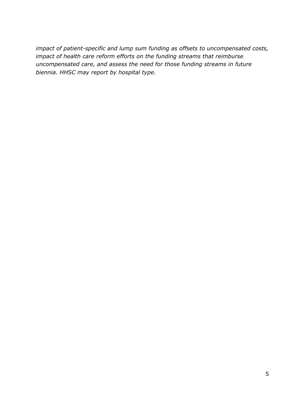*impact of patient-specific and lump sum funding as offsets to uncompensated costs, impact of health care reform efforts on the funding streams that reimburse uncompensated care, and assess the need for those funding streams in future biennia. HHSC may report by hospital type.*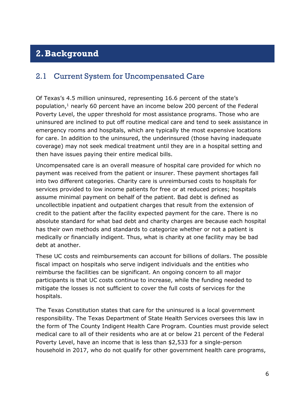# <span id="page-5-0"></span>**2.Background**

## <span id="page-5-1"></span>2.1 Current System for Uncompensated Care

Of Texas's 4.5 million uninsured, representing 16.6 percent of the state's population, $<sup>1</sup>$  nearly 60 percent have an income below 200 percent of the Federal</sup> Poverty Level, the upper threshold for most assistance programs. Those who are uninsured are inclined to put off routine medical care and tend to seek assistance in emergency rooms and hospitals, which are typically the most expensive locations for care. In addition to the uninsured, the underinsured (those having inadequate coverage) may not seek medical treatment until they are in a hospital setting and then have issues paying their entire medical bills.

Uncompensated care is an overall measure of hospital care provided for which no payment was received from the patient or insurer. These payment shortages fall into two different categories. Charity care is unreimbursed costs to hospitals for services provided to low income patients for free or at reduced prices; hospitals assume minimal payment on behalf of the patient. Bad debt is defined as uncollectible inpatient and outpatient charges that result from the extension of credit to the patient after the facility expected payment for the care. There is no absolute standard for what bad debt and charity charges are because each hospital has their own methods and standards to categorize whether or not a patient is medically or financially indigent. Thus, what is charity at one facility may be bad debt at another.

These UC costs and reimbursements can account for billions of dollars. The possible fiscal impact on hospitals who serve indigent individuals and the entities who reimburse the facilities can be significant. An ongoing concern to all major participants is that UC costs continue to increase, while the funding needed to mitigate the losses is not sufficient to cover the full costs of services for the hospitals.

The Texas Constitution states that care for the uninsured is a local government responsibility. The Texas Department of State Health Services oversees this law in the form of The County Indigent Health Care Program. Counties must provide select medical care to all of their residents who are at or below 21 percent of the Federal Poverty Level, have an income that is less than \$2,533 for a single-person household in 2017, who do not qualify for other government health care programs,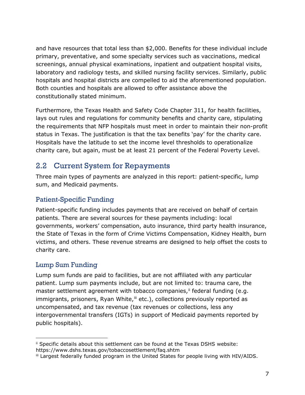and have resources that total less than \$2,000. Benefits for these individual include primary, preventative, and some specialty services such as vaccinations, medical screenings, annual physical examinations, inpatient and outpatient hospital visits, laboratory and radiology tests, and skilled nursing facility services. Similarly, public hospitals and hospital districts are compelled to aid the aforementioned population. Both counties and hospitals are allowed to offer assistance above the constitutionally stated minimum.

Furthermore, the Texas Health and Safety Code Chapter 311, for health facilities, lays out rules and regulations for community benefits and charity care, stipulating the requirements that NFP hospitals must meet in order to maintain their non-profit status in Texas. The justification is that the tax benefits 'pay' for the charity care. Hospitals have the latitude to set the income level thresholds to operationalize charity care, but again, must be at least 21 percent of the Federal Poverty Level.

## <span id="page-6-0"></span>2.2 Current System for Repayments

Three main types of payments are analyzed in this report: patient-specific, lump sum, and Medicaid payments.

### Patient-Specific Funding

Patient-specific funding includes payments that are received on behalf of certain patients. There are several sources for these payments including: local governments, workers' compensation, auto insurance, third party health insurance, the State of Texas in the form of Crime Victims Compensation, Kidney Health, burn victims, and others. These revenue streams are designed to help offset the costs to charity care.

#### Lump Sum Funding

Lump sum funds are paid to facilities, but are not affiliated with any particular patient. Lump sum payments include, but are not limited to: trauma care, the master settlement agreement with tobacco companies,<sup>[ii](#page-6-1)</sup> federal funding (e.g. immigrants, prisoners, Ryan White,<sup>[iii](#page-6-2)</sup> etc.), collections previously reported as uncompensated, and tax revenue (tax revenues or collections, less any intergovernmental transfers (IGTs) in support of Medicaid payments reported by public hospitals).

<span id="page-6-1"></span><sup>1</sup> ii Specific details about this settlement can be found at the Texas DSHS website: https://www.dshs.texas.gov/tobaccosettlement/faq.shtm

<span id="page-6-2"></span>iii Largest federally funded program in the United States for people living with HIV/AIDS.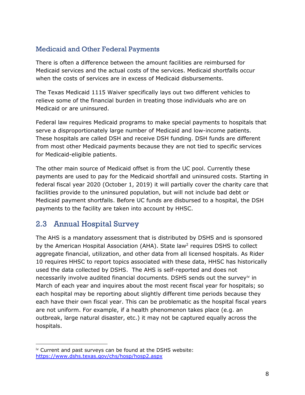#### Medicaid and Other Federal Payments

There is often a difference between the amount facilities are reimbursed for Medicaid services and the actual costs of the services. Medicaid shortfalls occur when the costs of services are in excess of Medicaid disbursements.

The Texas Medicaid 1115 Waiver specifically lays out two different vehicles to relieve some of the financial burden in treating those individuals who are on Medicaid or are uninsured.

Federal law requires Medicaid programs to make special payments to hospitals that serve a disproportionately large number of Medicaid and low-income patients. These hospitals are called DSH and receive DSH funding. DSH funds are different from most other Medicaid payments because they are not tied to specific services for Medicaid-eligible patients.

The other main source of Medicaid offset is from the UC pool. Currently these payments are used to pay for the Medicaid shortfall and uninsured costs. Starting in federal fiscal year 2020 (October 1, 2019) it will partially cover the charity care that facilities provide to the uninsured population, but will not include bad debt or Medicaid payment shortfalls. Before UC funds are disbursed to a hospital, the DSH payments to the facility are taken into account by HHSC.

# <span id="page-7-0"></span>2.3 Annual Hospital Survey

The AHS is a mandatory assessment that is distributed by DSHS and is sponsored by the American Hospital Association (AHA). State law<sup>2</sup> requires DSHS to collect aggregate financial, utilization, and other data from all licensed hospitals. As Rider 10 requires HHSC to report topics associated with these data, HHSC has historically used the data collected by DSHS. The AHS is self-reported and does not necessarily involve audited financial documents. DSHS sends out the survey<sup>iv</sup> in March of each year and inquires about the most recent fiscal year for hospitals; so each hospital may be reporting about slightly different time periods because they each have their own fiscal year. This can be problematic as the hospital fiscal years are not uniform. For example, if a health phenomenon takes place (e.g. an outbreak, large natural disaster, etc.) it may not be captured equally across the hospitals.

<span id="page-7-1"></span>l iv Current and past surveys can be found at the DSHS website: <https://www.dshs.texas.gov/chs/hosp/hosp2.aspx>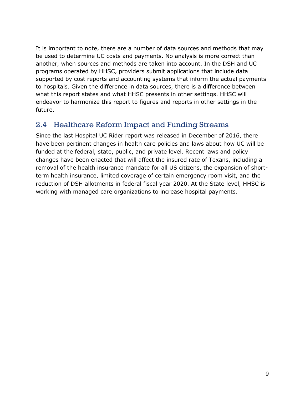It is important to note, there are a number of data sources and methods that may be used to determine UC costs and payments. No analysis is more correct than another, when sources and methods are taken into account. In the DSH and UC programs operated by HHSC, providers submit applications that include data supported by cost reports and accounting systems that inform the actual payments to hospitals. Given the difference in data sources, there is a difference between what this report states and what HHSC presents in other settings. HHSC will endeavor to harmonize this report to figures and reports in other settings in the future.

# <span id="page-8-0"></span>2.4 Healthcare Reform Impact and Funding Streams

Since the last Hospital UC Rider report was released in December of 2016, there have been pertinent changes in health care policies and laws about how UC will be funded at the federal, state, public, and private level. Recent laws and policy changes have been enacted that will affect the insured rate of Texans, including a removal of the health insurance mandate for all US citizens, the expansion of shortterm health insurance, limited coverage of certain emergency room visit, and the reduction of DSH allotments in federal fiscal year 2020. At the State level, HHSC is working with managed care organizations to increase hospital payments.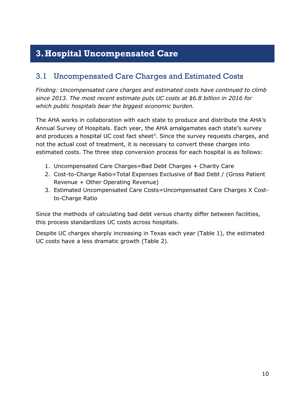# <span id="page-9-0"></span>**3.Hospital Uncompensated Care**

# <span id="page-9-1"></span>3.1 Uncompensated Care Charges and Estimated Costs

*Finding: Uncompensated care charges and estimated costs have continued to climb since 2013. The most recent estimate puts UC costs at \$6.8 billion in 2016 for which public hospitals bear the biggest economic burden.*

The AHA works in collaboration with each state to produce and distribute the AHA's Annual Survey of Hospitals. Each year, the AHA amalgamates each state's survey and produces a hospital UC cost fact sheet<sup>3</sup>. Since the survey requests charges, and not the actual cost of treatment, it is necessary to convert these charges into estimated costs. The three step conversion process for each hospital is as follows:

- 1. Uncompensated Care Charges=Bad Debt Charges + Charity Care
- 2. Cost-to-Charge Ratio=Total Expenses Exclusive of Bad Debt / (Gross Patient Revenue + Other Operating Revenue)
- 3. Estimated Uncompensated Care Costs=Uncompensated Care Charges X Costto-Charge Ratio

Since the methods of calculating bad debt versus charity differ between facilities, this process standardizes UC costs across hospitals.

Despite UC charges sharply increasing in Texas each year (Table 1), the estimated UC costs have a less dramatic growth (Table 2).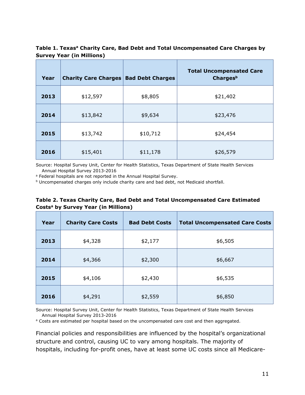#### Table 1. Texas<sup>a</sup> Charity Care, Bad Debt and Total Uncompensated Care Charges by **Survey Year (in Millions)**

| Year | <b>Charity Care Charges</b> | <b>Bad Debt Charges</b> | <b>Total Uncompensated Care</b><br>Chargesb |
|------|-----------------------------|-------------------------|---------------------------------------------|
| 2013 | \$12,597                    | \$8,805                 | \$21,402                                    |
| 2014 | \$13,842                    | \$9,634                 | \$23,476                                    |
| 2015 | \$13,742                    | \$10,712                | \$24,454                                    |
| 2016 | \$15,401                    | \$11,178                | \$26,579                                    |

Source: Hospital Survey Unit, Center for Health Statistics, Texas Department of State Health Services Annual Hospital Survey 2013-2016

a Federal hospitals are not reported in the Annual Hospital Survey.

 $b$  Uncompensated charges only include charity care and bad debt, not Medicaid shortfall.

#### **Table 2. Texas Charity Care, Bad Debt and Total Uncompensated Care Estimated Costsa by Survey Year (in Millions)**

| Year | <b>Charity Care Costs</b> | <b>Bad Debt Costs</b> | <b>Total Uncompensated Care Costs</b> |
|------|---------------------------|-----------------------|---------------------------------------|
| 2013 | \$4,328                   | \$2,177               | \$6,505                               |
| 2014 | \$4,366                   | \$2,300               | \$6,667                               |
| 2015 | \$4,106                   | \$2,430               | \$6,535                               |
| 2016 | \$4,291                   | \$2,559               | \$6,850                               |

Source: Hospital Survey Unit, Center for Health Statistics, Texas Department of State Health Services Annual Hospital Survey 2013-2016

<sup>a</sup> Costs are estimated per hospital based on the uncompensated care cost and then aggregated.

Financial policies and responsibilities are influenced by the hospital's organizational structure and control, causing UC to vary among hospitals. The majority of hospitals, including for-profit ones, have at least some UC costs since all Medicare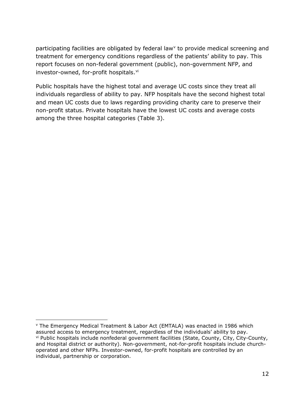participating facilities are obligated by federal law<sup>[v](#page-11-0)</sup> to provide medical screening and treatment for emergency conditions regardless of the patients' ability to pay. This report focuses on non-federal government (public), non-government NFP, and investor-owned, for-profit hospitals.<sup>[vi](#page-11-1)</sup>

Public hospitals have the highest total and average UC costs since they treat all individuals regardless of ability to pay. NFP hospitals have the second highest total and mean UC costs due to laws regarding providing charity care to preserve their non-profit status. Private hospitals have the lowest UC costs and average costs among the three hospital categories (Table 3).

1

<span id="page-11-1"></span><span id="page-11-0"></span><sup>v</sup> The Emergency Medical Treatment & Labor Act (EMTALA) was enacted in 1986 which assured access to emergency treatment, regardless of the individuals' ability to pay. vi Public hospitals include nonfederal government facilities (State, County, City, City-County, and Hospital district or authority). Non-government, not-for-profit hospitals include churchoperated and other NFPs. Investor-owned, for-profit hospitals are controlled by an individual, partnership or corporation.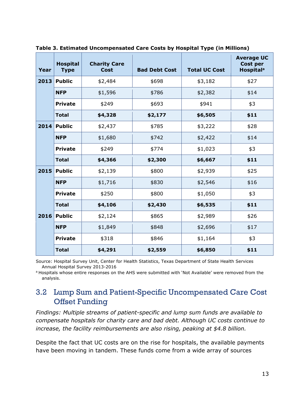| Year | <b>Hospital</b><br><b>Type</b> | <b>Charity Care</b><br><b>Cost</b> | <b>Bad Debt Cost</b> | <b>Total UC Cost</b> | <b>Average UC</b><br><b>Cost per</b><br><b>Hospital<sup>a</sup></b> |
|------|--------------------------------|------------------------------------|----------------------|----------------------|---------------------------------------------------------------------|
| 2013 | <b>Public</b>                  | \$2,484                            | \$698                | \$3,182              | \$27                                                                |
|      | <b>NFP</b>                     | \$1,596                            | \$786                | \$2,382              | \$14                                                                |
|      | <b>Private</b>                 | \$249                              | \$693                | \$941                | \$3                                                                 |
|      | <b>Total</b>                   | \$4,328                            | \$2,177              | \$6,505              | \$11                                                                |
|      | 2014 Public                    | \$2,437                            | \$785                | \$3,222              | \$28                                                                |
|      | <b>NFP</b>                     | \$1,680                            | \$742                | \$2,422              | \$14                                                                |
|      | <b>Private</b>                 | \$249                              | \$774                | \$1,023              | \$3                                                                 |
|      | <b>Total</b>                   | \$4,366                            | \$2,300              | \$6,667              | \$11                                                                |
| 2015 | <b>Public</b>                  | \$2,139                            | \$800                | \$2,939              | \$25                                                                |
|      | <b>NFP</b>                     | \$1,716                            | \$830                | \$2,546              | \$16                                                                |
|      | <b>Private</b>                 | \$250                              | \$800                | \$1,050              | \$3                                                                 |
|      | <b>Total</b>                   | \$4,106                            | \$2,430              | \$6,535              | \$11                                                                |
| 2016 | <b>Public</b>                  | \$2,124                            | \$865                | \$2,989              | \$26                                                                |
|      | <b>NFP</b>                     | \$1,849                            | \$848                | \$2,696              | \$17                                                                |
|      | <b>Private</b>                 | \$318                              | \$846                | \$1,164              | \$3                                                                 |
|      | <b>Total</b>                   | \$4,291                            | \$2,559              | \$6,850              | \$11                                                                |

**Table 3. Estimated Uncompensated Care Costs by Hospital Type (in Millions)**

Source: Hospital Survey Unit, Center for Health Statistics, Texas Department of State Health Services Annual Hospital Survey 2013-2016

a Hospitals whose entire responses on the AHS were submitted with 'Not Available' were removed from the analysis.

# <span id="page-12-0"></span>3.2 Lump Sum and Patient-Specific Uncompensated Care Cost Offset Funding

*Findings: Multiple streams of patient-specific and lump sum funds are available to compensate hospitals for charity care and bad debt. Although UC costs continue to increase, the facility reimbursements are also rising, peaking at \$4.8 billion.*

Despite the fact that UC costs are on the rise for hospitals, the available payments have been moving in tandem. These funds come from a wide array of sources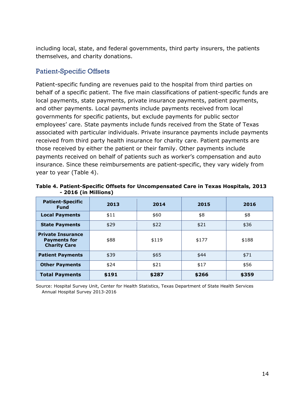including local, state, and federal governments, third party insurers, the patients themselves, and charity donations.

#### Patient-Specific Offsets

Patient-specific funding are revenues paid to the hospital from third parties on behalf of a specific patient. The five main classifications of patient-specific funds are local payments, state payments, private insurance payments, patient payments, and other payments. Local payments include payments received from local governments for specific patients, but exclude payments for public sector employees' care. State payments include funds received from the State of Texas associated with particular individuals. Private insurance payments include payments received from third party health insurance for charity care. Patient payments are those received by either the patient or their family. Other payments include payments received on behalf of patients such as worker's compensation and auto insurance. Since these reimbursements are patient-specific, they vary widely from year to year (Table 4).

| <b>Patient-Specific</b><br><b>Fund</b>                                 | 2013  | 2014  | 2015  | 2016  |
|------------------------------------------------------------------------|-------|-------|-------|-------|
| <b>Local Payments</b>                                                  | \$11  | \$60  | \$8   | \$8   |
| <b>State Payments</b>                                                  | \$29  | \$22  | \$21  | \$36  |
| <b>Private Insurance</b><br><b>Payments for</b><br><b>Charity Care</b> | \$88  | \$119 | \$177 | \$188 |
| <b>Patient Payments</b>                                                | \$39  | \$65  | \$44  | \$71  |
| <b>Other Payments</b>                                                  | \$24  | \$21  | \$17  | \$56  |
| <b>Total Payments</b>                                                  | \$191 | \$287 | \$266 | \$359 |

**Table 4. Patient-Specific Offsets for Uncompensated Care in Texas Hospitals, 2013 - 2016 (in Millions)**

Source: Hospital Survey Unit, Center for Health Statistics, Texas Department of State Health Services Annual Hospital Survey 2013-2016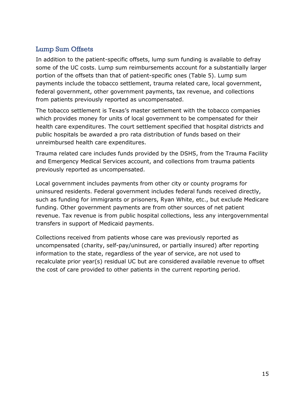#### Lump Sum Offsets

In addition to the patient-specific offsets, lump sum funding is available to defray some of the UC costs. Lump sum reimbursements account for a substantially larger portion of the offsets than that of patient-specific ones (Table 5). Lump sum payments include the tobacco settlement, trauma related care, local government, federal government, other government payments, tax revenue, and collections from patients previously reported as uncompensated.

The tobacco settlement is Texas's master settlement with the tobacco companies which provides money for units of local government to be compensated for their health care expenditures. The court settlement specified that hospital districts and public hospitals be awarded a pro rata distribution of funds based on their unreimbursed health care expenditures.

Trauma related care includes funds provided by the DSHS, from the Trauma Facility and Emergency Medical Services account, and collections from trauma patients previously reported as uncompensated.

Local government includes payments from other city or county programs for uninsured residents. Federal government includes federal funds received directly, such as funding for immigrants or prisoners, Ryan White, etc., but exclude Medicare funding. Other government payments are from other sources of net patient revenue. Tax revenue is from public hospital collections, less any intergovernmental transfers in support of Medicaid payments.

Collections received from patients whose care was previously reported as uncompensated (charity, self-pay/uninsured, or partially insured) after reporting information to the state, regardless of the year of service, are not used to recalculate prior year(s) residual UC but are considered available revenue to offset the cost of care provided to other patients in the current reporting period.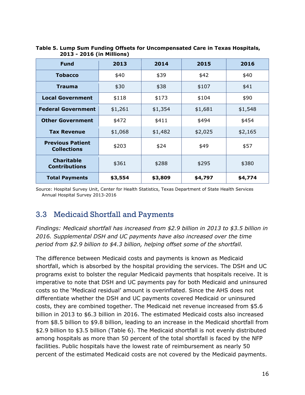| <b>Fund</b>                                   | 2013    | 2014    | 2015    | 2016    |
|-----------------------------------------------|---------|---------|---------|---------|
| <b>Tobacco</b>                                | \$40    | \$39    | \$42    | \$40    |
| <b>Trauma</b>                                 | \$30    | \$38    | \$107   | \$41    |
| <b>Local Government</b>                       | \$118   | \$173   | \$104   | \$90    |
| <b>Federal Government</b>                     | \$1,261 | \$1,354 | \$1,681 | \$1,548 |
| <b>Other Government</b>                       | \$472   | \$411   | \$494   | \$454   |
| <b>Tax Revenue</b>                            | \$1,068 | \$1,482 | \$2,025 | \$2,165 |
| <b>Previous Patient</b><br><b>Collections</b> | \$203   | \$24    | \$49    | \$57    |
| <b>Charitable</b><br><b>Contributions</b>     | \$361   | \$288   | \$295   | \$380   |
| <b>Total Payments</b>                         | \$3,554 | \$3,809 | \$4,797 | \$4,774 |

#### **Table 5. Lump Sum Funding Offsets for Uncompensated Care in Texas Hospitals, 2013 - 2016 (in Millions)**

Source: Hospital Survey Unit, Center for Health Statistics, Texas Department of State Health Services Annual Hospital Survey 2013-2016

# <span id="page-15-0"></span>3.3 Medicaid Shortfall and Payments

*Findings: Medicaid shortfall has increased from \$2.9 billion in 2013 to \$3.5 billion in 2016. Supplemental DSH and UC payments have also increased over the time period from \$2.9 billion to \$4.3 billion, helping offset some of the shortfall.*

The difference between Medicaid costs and payments is known as Medicaid shortfall, which is absorbed by the hospital providing the services. The DSH and UC programs exist to bolster the regular Medicaid payments that hospitals receive. It is imperative to note that DSH and UC payments pay for both Medicaid and uninsured costs so the 'Medicaid residual' amount is overinflated. Since the AHS does not differentiate whether the DSH and UC payments covered Medicaid or uninsured costs, they are combined together. The Medicaid net revenue increased from \$5.6 billion in 2013 to \$6.3 billion in 2016. The estimated Medicaid costs also increased from \$8.5 billion to \$9.8 billion, leading to an increase in the Medicaid shortfall from \$2.9 billion to \$3.5 billion (Table 6). The Medicaid shortfall is not evenly distributed among hospitals as more than 50 percent of the total shortfall is faced by the NFP facilities. Public hospitals have the lowest rate of reimbursement as nearly 50 percent of the estimated Medicaid costs are not covered by the Medicaid payments.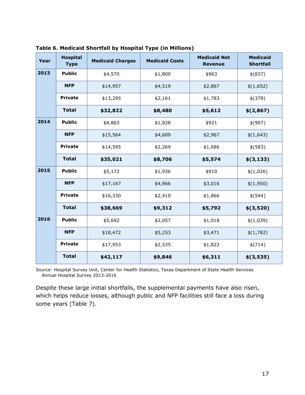| Year | <b>Hospital</b><br><b>Type</b> | <b>Medicaid Charges</b> | <b>Medicaid Costs</b> | <b>Medicaid Net</b><br><b>Revenue</b> | <b>Medicaid</b><br><b>Shortfall</b> |
|------|--------------------------------|-------------------------|-----------------------|---------------------------------------|-------------------------------------|
| 2013 | <b>Public</b>                  | \$4,570                 | \$1,800               | \$963                                 | $$$ (837)                           |
|      | <b>NFP</b>                     | \$14,957                | \$4,519               | \$2,867                               | \$(1,652)                           |
|      | <b>Private</b>                 | \$13,295                | \$2,161               | \$1,783                               | \$(378)                             |
|      | <b>Total</b>                   | \$32,822                | \$8,480               | \$5,612                               | \$(2,867)                           |
| 2014 | <b>Public</b>                  | \$4,863                 | \$1,828               | \$921                                 | \$(907)                             |
|      | <b>NFP</b>                     | \$15,564                | \$4,609               | \$2,967                               | \$(1,643)                           |
|      | <b>Private</b>                 | \$14,595                | \$2,269               | \$1,686                               | \$(583)                             |
|      | <b>Total</b>                   | \$35,021                | \$8,706               | \$5,574                               | \$(3, 133)                          |
| 2015 | <b>Public</b>                  | \$5,172                 | \$1,936               | \$910                                 | \$(1,026)                           |
|      | <b>NFP</b>                     | \$17,167                | \$4,966               | \$3,016                               | \$(1,950)                           |
|      | <b>Private</b>                 | \$16,330                | \$2,410               | \$1,866                               | \$(544)                             |
|      | <b>Total</b>                   | \$38,669                | \$9,312               | \$5,792                               | \$(3,520)                           |
| 2016 | <b>Public</b>                  | \$5,692                 | \$2,057               | \$1,018                               | \$(1,039)                           |
|      | <b>NFP</b>                     | \$18,472                | \$5,253               | \$3,471                               | \$(1,782)                           |
|      | <b>Private</b>                 | \$17,953                | \$2,535               | \$1,822                               | \$(714)                             |
|      | <b>Total</b>                   | \$42,117                | \$9,846               | \$6,311                               | \$(3,535)                           |

**Table 6. Medicaid Shortfall by Hospital Type (in Millions)**

Source: Hospital Survey Unit, Center for Health Statistics, Texas Department of State Health Services Annual Hospital Survey 2013-2016

Despite these large initial shortfalls, the supplemental payments have also risen, which helps reduce losses, although public and NFP facilities still face a loss during some years (Table 7).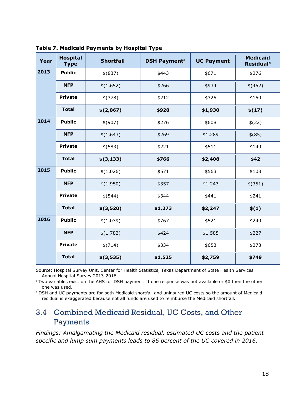| Year | <b>Hospital</b><br><b>Type</b> | <b>Shortfall</b> | <b>DSH Payment<sup>a</sup></b> | <b>UC Payment</b> | <b>Medicaid</b><br><b>Residual</b> <sup>b</sup> |
|------|--------------------------------|------------------|--------------------------------|-------------------|-------------------------------------------------|
| 2013 | <b>Public</b>                  | \$ (837)         | \$443                          | \$671             | \$276                                           |
|      | <b>NFP</b>                     | \$(1,652)        | \$266                          | \$934             | \$(452)                                         |
|      | <b>Private</b>                 | \$(378)          | \$212                          | \$325             | \$159                                           |
|      | <b>Total</b>                   | \$(2,867)        | \$920                          | \$1,930           | \$(17)                                          |
| 2014 | <b>Public</b>                  | \$(907)          | \$276                          | \$608             | \$(22)                                          |
|      | <b>NFP</b>                     | \$(1,643)        | \$269                          | \$1,289           | $$^{(85)}$                                      |
|      | <b>Private</b>                 | \$(583)          | \$221                          | \$511             | \$149                                           |
|      | <b>Total</b>                   | \$(3, 133)       | \$766                          | \$2,408           | \$42                                            |
| 2015 | <b>Public</b>                  | \$(1,026)        | \$571                          | \$563             | \$108                                           |
|      | <b>NFP</b>                     | \$(1,950)        | \$357                          | \$1,243           | \$(351)                                         |
|      | <b>Private</b>                 | \$(544)          | \$344                          | \$441             | \$241                                           |
|      | <b>Total</b>                   | \$(3,520)        | \$1,273                        | \$2,247           | \$(1)                                           |
| 2016 | <b>Public</b>                  | \$(1,039)        | \$767                          | \$521             | \$249                                           |
|      | <b>NFP</b>                     | \$(1,782)        | \$424                          | \$1,585           | \$227                                           |
|      | <b>Private</b>                 | \$(714)          | \$334                          | \$653             | \$273                                           |
|      | <b>Total</b>                   | \$(3,535)        | \$1,525                        | \$2,759           | \$749                                           |

**Table 7. Medicaid Payments by Hospital Type**

Source: Hospital Survey Unit, Center for Health Statistics, Texas Department of State Health Services Annual Hospital Survey 2013-2016.

<sup>a</sup> Two variables exist on the AHS for DSH payment. If one response was not available or \$0 then the other one was used.

b DSH and UC payments are for both Medicaid shortfall and uninsured UC costs so the amount of Medicaid residual is exaggerated because not all funds are used to reimburse the Medicaid shortfall.

# <span id="page-17-0"></span>3.4 Combined Medicaid Residual, UC Costs, and Other Payments

*Findings: Amalgamating the Medicaid residual, estimated UC costs and the patient specific and lump sum payments leads to 86 percent of the UC covered in 2016.*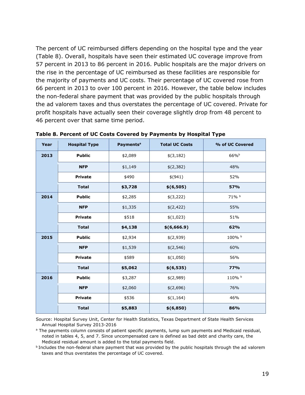The percent of UC reimbursed differs depending on the hospital type and the year (Table 8). Overall, hospitals have seen their estimated UC coverage improve from 57 percent in 2013 to 86 percent in 2016. Public hospitals are the major drivers on the rise in the percentage of UC reimbursed as these facilities are responsible for the majority of payments and UC costs. Their percentage of UC covered rose from 66 percent in 2013 to over 100 percent in 2016. However, the table below includes the non-federal share payment that was provided by the public hospitals through the ad valorem taxes and thus overstates the percentage of UC covered. Private for profit hospitals have actually seen their coverage slightly drop from 48 percent to 46 percent over that same time period.

| Year | <b>Hospital Type</b> | <b>Payments<sup>a</sup></b> | <b>Total UC Costs</b> | % of UC Covered  |
|------|----------------------|-----------------------------|-----------------------|------------------|
| 2013 | <b>Public</b>        | \$2,089                     | \$(3,182)             | 66% <sup>b</sup> |
|      | <b>NFP</b>           | \$1,149                     | \$(2,382)             | 48%              |
|      | <b>Private</b>       | \$490                       | \$(941)               | 52%              |
|      | <b>Total</b>         | \$3,728                     | \$(6,505)             | 57%              |
| 2014 | <b>Public</b>        | \$2,285                     | \$(3,222)             | 71% b            |
|      | <b>NFP</b>           | \$1,335                     | \$(2,422)             | 55%              |
|      | <b>Private</b>       | \$518                       | \$(1,023)             | 51%              |
|      | <b>Total</b>         | \$4,138                     | \$(6,666.9)           | 62%              |
| 2015 | <b>Public</b>        | \$2,934                     | \$(2,939)             | 100% b           |
|      | <b>NFP</b>           | \$1,539                     | \$(2,546)             | 60%              |
|      | <b>Private</b>       | \$589                       | \$(1,050)             | 56%              |
|      | <b>Total</b>         | \$5,062                     | \$(6,535)             | 77%              |
| 2016 | <b>Public</b>        | \$3,287                     | \$(2,989)             | 110% b           |
|      | <b>NFP</b>           | \$2,060                     | \$(2,696)             | 76%              |
|      | <b>Private</b>       | \$536                       | \$(1,164)             | 46%              |
|      | <b>Total</b>         | \$5,883                     | \$(6,850)             | 86%              |

**Table 8. Percent of UC Costs Covered by Payments by Hospital Type**

Source: Hospital Survey Unit, Center for Health Statistics, Texas Department of State Health Services Annual Hospital Survey 2013-2016

<sup>a</sup> The payments column consists of patient specific payments, lump sum payments and Medicaid residual, noted in tables 4, 5, and 7. Since uncompensated care is defined as bad debt and charity care, the Medicaid residual amount is added to the total payments field.

b Includes the non-federal share payment that was provided by the public hospitals through the ad valorem taxes and thus overstates the percentage of UC covered.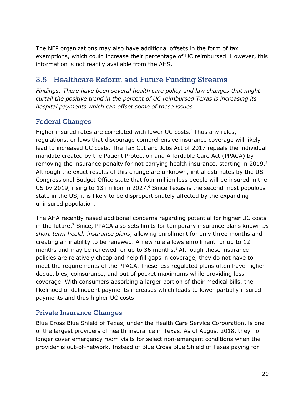The NFP organizations may also have additional offsets in the form of tax exemptions, which could increase their percentage of UC reimbursed. However, this information is not readily available from the AHS.

# <span id="page-19-0"></span>3.5 Healthcare Reform and Future Funding Streams

*Findings: There have been several health care policy and law changes that might curtail the positive trend in the percent of UC reimbursed Texas is increasing its hospital payments which can offset some of these issues.*

## Federal Changes

Higher insured rates are correlated with lower UC costs.<sup>4</sup> Thus any rules, regulations, or laws that discourage comprehensive insurance coverage will likely lead to increased UC costs. The Tax Cut and Jobs Act of 2017 repeals the individual mandate created by the Patient Protection and Affordable Care Act (PPACA) by removing the insurance penalty for not carrying health insurance, starting in 2019. 5 Although the exact results of this change are unknown, initial estimates by the US Congressional Budget Office state that four million less people will be insured in the US by 2019, rising to 13 million in 2027. <sup>6</sup> Since Texas is the second most populous state in the US, it is likely to be disproportionately affected by the expanding uninsured population.

The AHA recently raised additional concerns regarding potential for higher UC costs in the future.7 Since, PPACA also sets limits for temporary insurance plans known *as short-term health-insurance plans*, allowing enrollment for only three months and creating an inability to be renewed. A new rule allows enrollment for up to 12 months and may be renewed for up to 36 months. 8 Although these insurance policies are relatively cheap and help fill gaps in coverage, they do not have to meet the requirements of the PPACA. These less regulated plans often have higher deductibles, coinsurance, and out of pocket maximums while providing less coverage. With consumers absorbing a larger portion of their medical bills, the likelihood of delinquent payments increases which leads to lower partially insured payments and thus higher UC costs.

#### Private Insurance Changes

Blue Cross Blue Shield of Texas, under the Health Care Service Corporation, is one of the largest providers of health insurance in Texas. As of August 2018, they no longer cover emergency room visits for select non-emergent conditions when the provider is out-of-network. Instead of Blue Cross Blue Shield of Texas paying for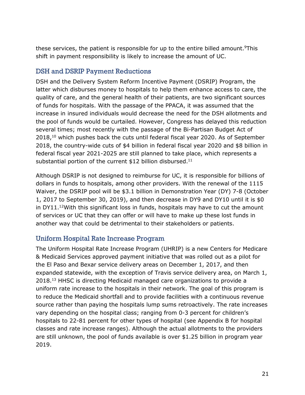these services, the patient is responsible for up to the entire billed amount.<sup>9</sup>This shift in payment responsibility is likely to increase the amount of UC.

#### DSH and DSRIP Payment Reductions

DSH and the Delivery System Reform Incentive Payment (DSRIP) Program, the latter which disburses money to hospitals to help them enhance access to care, the quality of care, and the general health of their patients, are two significant sources of funds for hospitals. With the passage of the PPACA, it was assumed that the increase in insured individuals would decrease the need for the DSH allotments and the pool of funds would be curtailed. However, Congress has delayed this reduction several times; most recently with the passage of the Bi-Partisan Budget Act of 2018,<sup>10</sup> which pushes back the cuts until federal fiscal year 2020. As of September 2018, the country-wide cuts of \$4 billion in federal fiscal year 2020 and \$8 billion in federal fiscal year 2021-2025 are still planned to take place, which represents a substantial portion of the current \$12 billion disbursed.<sup>11</sup>

Although DSRIP is not designed to reimburse for UC, it is responsible for billions of dollars in funds to hospitals, among other providers. With the renewal of the 1115 Waiver, the DSRIP pool will be \$3.1 billion in Demonstration Year (DY) 7-8 (October 1, 2017 to September 30, 2019), and then decrease in DY9 and DY10 until it is \$0 in DY11. 12With this significant loss in funds, hospitals may have to cut the amount of services or UC that they can offer or will have to make up these lost funds in another way that could be detrimental to their stakeholders or patients.

#### Uniform Hospital Rate Increase Program

The Uniform Hospital Rate Increase Program (UHRIP) is a new Centers for Medicare & Medicaid Services approved payment initiative that was rolled out as a pilot for the El Paso and Bexar service delivery areas on December 1, 2017, and then expanded statewide, with the exception of Travis service delivery area, on March 1, 2018.<sup>13</sup> HHSC is directing Medicaid managed care organizations to provide a uniform rate increase to the hospitals in their network. The goal of this program is to reduce the Medicaid shortfall and to provide facilities with a continuous revenue source rather than paying the hospitals lump sums retroactively. The rate increases vary depending on the hospital class; ranging from 0-3 percent for children's hospitals to 22-81 percent for other types of hospital (see Appendix B for hospital classes and rate increase ranges). Although the actual allotments to the providers are still unknown, the pool of funds available is over \$1.25 billion in program year 2019.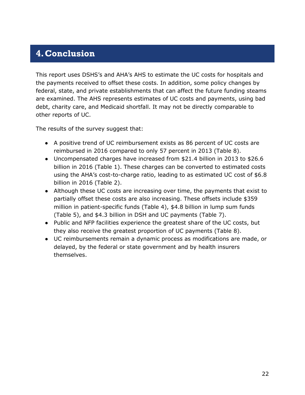# <span id="page-21-0"></span>**4.Conclusion**

This report uses DSHS's and AHA's AHS to estimate the UC costs for hospitals and the payments received to offset these costs. In addition, some policy changes by federal, state, and private establishments that can affect the future funding steams are examined. The AHS represents estimates of UC costs and payments, using bad debt, charity care, and Medicaid shortfall. It may not be directly comparable to other reports of UC.

The results of the survey suggest that:

- A positive trend of UC reimbursement exists as 86 percent of UC costs are reimbursed in 2016 compared to only 57 percent in 2013 (Table 8).
- Uncompensated charges have increased from \$21.4 billion in 2013 to \$26.6 billion in 2016 (Table 1). These charges can be converted to estimated costs using the AHA's cost-to-charge ratio, leading to as estimated UC cost of \$6.8 billion in 2016 (Table 2).
- Although these UC costs are increasing over time, the payments that exist to partially offset these costs are also increasing. These offsets include \$359 million in patient-specific funds (Table 4), \$4.8 billion in lump sum funds (Table 5), and \$4.3 billion in DSH and UC payments (Table 7).
- Public and NFP facilities experience the greatest share of the UC costs, but they also receive the greatest proportion of UC payments (Table 8).
- UC reimbursements remain a dynamic process as modifications are made, or delayed, by the federal or state government and by health insurers themselves.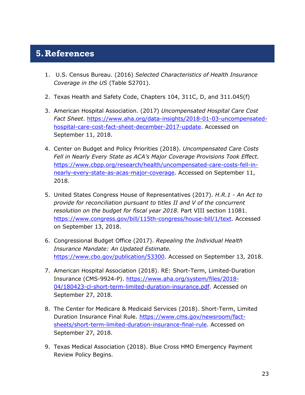# <span id="page-22-0"></span>**5.References**

- 1. U.S. Census Bureau. (2016) *Selected Characteristics of Health Insurance Coverage in the US* (Table S2701).
- 2. Texas Health and Safety Code, Chapters 104, 311C, D, and 311.045(f)
- 3. American Hospital Association. (2017) *Uncompensated Hospital Care Cost Fact Sheet*. [https://www.aha.org/data-insights/2018-01-03-uncompensated](https://www.aha.org/data-insights/2018-01-03-uncompensated-hospital-care-cost-fact-sheet-december-2017-update)[hospital-care-cost-fact-sheet-december-2017-update.](https://www.aha.org/data-insights/2018-01-03-uncompensated-hospital-care-cost-fact-sheet-december-2017-update) Accessed on September 11, 2018.
- 4. Center on Budget and Policy Priorities (2018). *Uncompensated Care Costs Fell in Nearly Every State as ACA's Major Coverage Provisions Took Effect.*  [https://www.cbpp.org/research/health/uncompensated-care-costs-fell-in](https://www.cbpp.org/research/health/uncompensated-care-costs-fell-in-nearly-every-state-as-acas-major-coverage)[nearly-every-state-as-acas-major-coverage.](https://www.cbpp.org/research/health/uncompensated-care-costs-fell-in-nearly-every-state-as-acas-major-coverage) Accessed on September 11, 2018.
- 5. United States Congress House of Representatives (2017). *H.R.1 - An Act to provide for reconciliation pursuant to titles II and V of the concurrent resolution on the budget for fiscal year 2018*. Part VIII section 11081. [https://www.congress.gov/bill/115th-congress/house-bill/1/text.](https://www.congress.gov/bill/115th-congress/house-bill/1/text) Accessed on September 13, 2018.
- 6. Congressional Budget Office (2017). *Repealing the Individual Health Insurance Mandate: An Updated Estimate.*  [https://www.cbo.gov/publication/53300.](https://www.cbo.gov/publication/53300) Accessed on September 13, 2018.
- 7. American Hospital Association (2018). RE: Short-Term, Limited-Duration Insurance (CMS-9924-P). [https://www.aha.org/system/files/2018-](https://www.aha.org/system/files/2018-04/180423-cl-short-term-limited-duration-insurance.pdf) [04/180423-cl-short-term-limited-duration-insurance.pdf.](https://www.aha.org/system/files/2018-04/180423-cl-short-term-limited-duration-insurance.pdf) Accessed on September 27, 2018.
- 8. The Center for Medicare & Medicaid Services (2018). Short-Term, Limited Duration Insurance Final Rule. [https://www.cms.gov/newsroom/fact](https://www.cms.gov/newsroom/fact-sheets/short-term-limited-duration-insurance-final-rule)[sheets/short-term-limited-duration-insurance-final-rule.](https://www.cms.gov/newsroom/fact-sheets/short-term-limited-duration-insurance-final-rule) Accessed on September 27, 2018.
- 9. Texas Medical Association (2018). Blue Cross HMO Emergency Payment Review Policy Begins.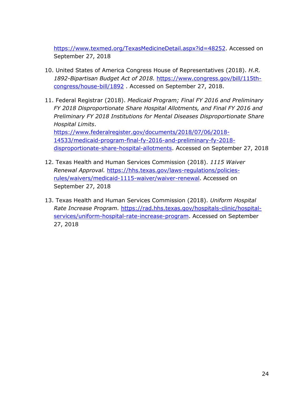[https://www.texmed.org/TexasMedicineDetail.aspx?id=48252.](https://www.texmed.org/TexasMedicineDetail.aspx?id=48252) Accessed on September 27, 2018

- 10. United States of America Congress House of Representatives (2018). *H.R. 1892-Bipartisan Budget Act of 2018.* [https://www.congress.gov/bill/115th](https://www.congress.gov/bill/115th-congress/house-bill/1892)[congress/house-bill/1892](https://www.congress.gov/bill/115th-congress/house-bill/1892) . Accessed on September 27, 2018.
- 11. Federal Registrar (2018). *Medicaid Program; Final FY 2016 and Preliminary FY 2018 Disproportionate Share Hospital Allotments, and Final FY 2016 and Preliminary FY 2018 Institutions for Mental Diseases Disproportionate Share Hospital Limits*. [https://www.federalregister.gov/documents/2018/07/06/2018-](https://www.federalregister.gov/documents/2018/07/06/2018-14533/medicaid-program-final-fy-2016-and-preliminary-fy-2018-disproportionate-share-hospital-allotments) [14533/medicaid-program-final-fy-2016-and-preliminary-fy-2018-](https://www.federalregister.gov/documents/2018/07/06/2018-14533/medicaid-program-final-fy-2016-and-preliminary-fy-2018-disproportionate-share-hospital-allotments)

[disproportionate-share-hospital-allotments.](https://www.federalregister.gov/documents/2018/07/06/2018-14533/medicaid-program-final-fy-2016-and-preliminary-fy-2018-disproportionate-share-hospital-allotments) Accessed on September 27, 2018

- 12. Texas Health and Human Services Commission (2018). *1115 Waiver Renewal Approval.* [https://hhs.texas.gov/laws-regulations/policies](https://hhs.texas.gov/laws-regulations/policies-rules/waivers/medicaid-1115-waiver/waiver-renewal)[rules/waivers/medicaid-1115-waiver/waiver-renewal.](https://hhs.texas.gov/laws-regulations/policies-rules/waivers/medicaid-1115-waiver/waiver-renewal) Accessed on September 27, 2018
- 13. Texas Health and Human Services Commission (2018). *Uniform Hospital Rate Increase Program.* [https://rad.hhs.texas.gov/hospitals-clinic/hospital](https://rad.hhs.texas.gov/hospitals-clinic/hospital-services/uniform-hospital-rate-increase-program)[services/uniform-hospital-rate-increase-program.](https://rad.hhs.texas.gov/hospitals-clinic/hospital-services/uniform-hospital-rate-increase-program) Accessed on September 27, 2018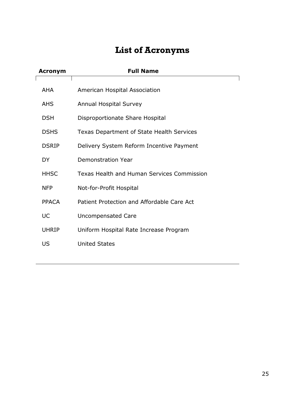# **List of Acronyms**

<span id="page-24-0"></span>

| <b>Acronym</b> | <b>Full Name</b>                                 |
|----------------|--------------------------------------------------|
| <b>AHA</b>     | American Hospital Association                    |
| AHS            | <b>Annual Hospital Survey</b>                    |
| <b>DSH</b>     | Disproportionate Share Hospital                  |
| <b>DSHS</b>    | <b>Texas Department of State Health Services</b> |
| <b>DSRIP</b>   | Delivery System Reform Incentive Payment         |
| <b>DY</b>      | Demonstration Year                               |
| <b>HHSC</b>    | Texas Health and Human Services Commission       |
| <b>NFP</b>     | Not-for-Profit Hospital                          |
| <b>PPACA</b>   | Patient Protection and Affordable Care Act       |
| UC             | <b>Uncompensated Care</b>                        |
| <b>UHRIP</b>   | Uniform Hospital Rate Increase Program           |
| US             | <b>United States</b>                             |
|                |                                                  |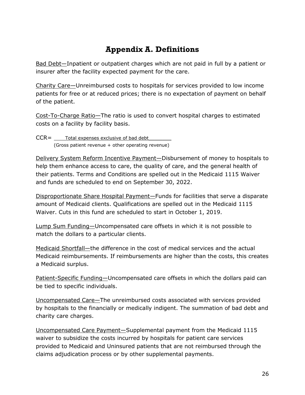# **Appendix A. Definitions**

<span id="page-25-0"></span>Bad Debt—Inpatient or outpatient charges which are not paid in full by a patient or insurer after the facility expected payment for the care.

Charity Care—Unreimbursed costs to hospitals for services provided to low income patients for free or at reduced prices; there is no expectation of payment on behalf of the patient.

Cost-To-Charge Ratio—The ratio is used to convert hospital charges to estimated costs on a facility by facility basis.

 $CCR =$  Total expenses exclusive of bad debt (Gross patient revenue + other operating revenue)

Delivery System Reform Incentive Payment—Disbursement of money to hospitals to help them enhance access to care, the quality of care, and the general health of their patients. Terms and Conditions are spelled out in the Medicaid 1115 Waiver and funds are scheduled to end on September 30, 2022.

Disproportionate Share Hospital Payment—Funds for facilities that serve a disparate amount of Medicaid clients. Qualifications are spelled out in the Medicaid 1115 Waiver. Cuts in this fund are scheduled to start in October 1, 2019.

Lump Sum Funding—Uncompensated care offsets in which it is not possible to match the dollars to a particular clients.

Medicaid Shortfall—the difference in the cost of medical services and the actual Medicaid reimbursements. If reimbursements are higher than the costs, this creates a Medicaid surplus.

Patient-Specific Funding-Uncompensated care offsets in which the dollars paid can be tied to specific individuals.

Uncompensated Care—The unreimbursed costs associated with services provided by hospitals to the financially or medically indigent. The summation of bad debt and charity care charges.

Uncompensated Care Payment—Supplemental payment from the Medicaid 1115 waiver to subsidize the costs incurred by hospitals for patient care services provided to Medicaid and Uninsured patients that are not reimbursed through the claims adjudication process or by other supplemental payments.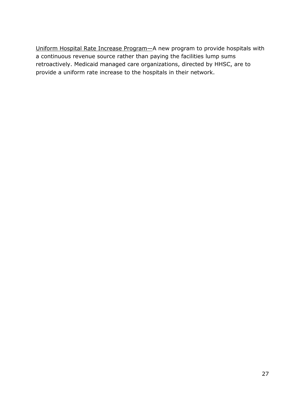Uniform Hospital Rate Increase Program—A new program to provide hospitals with a continuous revenue source rather than paying the facilities lump sums retroactively. Medicaid managed care organizations, directed by HHSC, are to provide a uniform rate increase to the hospitals in their network.